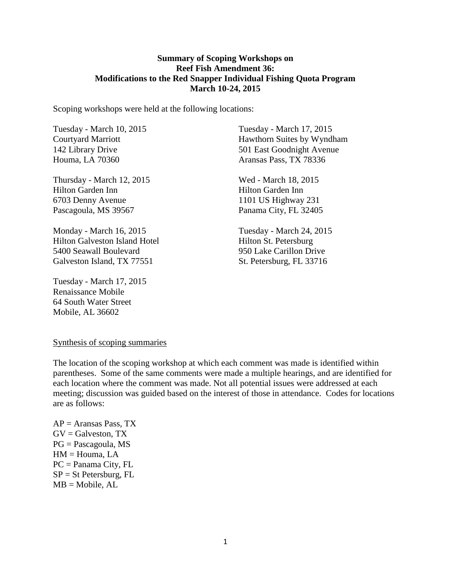#### **Summary of Scoping Workshops on Reef Fish Amendment 36: Modifications to the Red Snapper Individual Fishing Quota Program March 10-24, 2015**

Scoping workshops were held at the following locations:

Tuesday - March 10, 2015 Courtyard Marriott 142 Library Drive Houma, LA 70360

Thursday - March 12, 2015 Hilton Garden Inn 6703 Denny Avenue Pascagoula, MS 39567

Monday - March 16, 2015 Hilton Galveston Island Hotel 5400 Seawall Boulevard Galveston Island, TX 77551

Tuesday - March 17, 2015 Renaissance Mobile 64 South Water Street Mobile, AL 36602

Tuesday - March 17, 2015 Hawthorn Suites by Wyndham 501 East Goodnight Avenue Aransas Pass, TX 78336

Wed - March 18, 2015 Hilton Garden Inn 1101 US Highway 231 Panama City, FL 32405

Tuesday - March 24, 2015 Hilton St. Petersburg 950 Lake Carillon Drive St. Petersburg, FL 33716

#### Synthesis of scoping summaries

The location of the scoping workshop at which each comment was made is identified within parentheses. Some of the same comments were made a multiple hearings, and are identified for each location where the comment was made. Not all potential issues were addressed at each meeting; discussion was guided based on the interest of those in attendance. Codes for locations are as follows:

 $AP =$  Aransas Pass, TX  $GV =$  Galveston, TX PG = Pascagoula, MS HM = Houma, LA PC = Panama City, FL  $SP = St$  Petersburg, FL  $MB = Mobile, AL$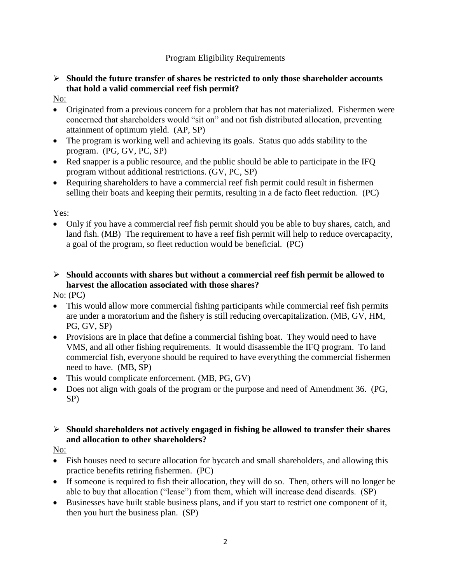### Program Eligibility Requirements

### **Should the future transfer of shares be restricted to only those shareholder accounts that hold a valid commercial reef fish permit?**

- No:
- Originated from a previous concern for a problem that has not materialized. Fishermen were concerned that shareholders would "sit on" and not fish distributed allocation, preventing attainment of optimum yield. (AP, SP)
- The program is working well and achieving its goals. Status quo adds stability to the program. (PG, GV, PC, SP)
- Red snapper is a public resource, and the public should be able to participate in the IFQ program without additional restrictions. (GV, PC, SP)
- Requiring shareholders to have a commercial reef fish permit could result in fishermen selling their boats and keeping their permits, resulting in a de facto fleet reduction. (PC)

# Yes:

 Only if you have a commercial reef fish permit should you be able to buy shares, catch, and land fish. (MB) The requirement to have a reef fish permit will help to reduce overcapacity, a goal of the program, so fleet reduction would be beneficial. (PC)

# **Should accounts with shares but without a commercial reef fish permit be allowed to harvest the allocation associated with those shares?**

No: (PC)

- This would allow more commercial fishing participants while commercial reef fish permits are under a moratorium and the fishery is still reducing overcapitalization. (MB, GV, HM, PG, GV, SP)
- Provisions are in place that define a commercial fishing boat. They would need to have VMS, and all other fishing requirements. It would disassemble the IFQ program. To land commercial fish, everyone should be required to have everything the commercial fishermen need to have. (MB, SP)
- This would complicate enforcement. (MB, PG, GV)
- Does not align with goals of the program or the purpose and need of Amendment 36. (PG, SP)

### **Should shareholders not actively engaged in fishing be allowed to transfer their shares and allocation to other shareholders?**

No:

- Fish houses need to secure allocation for bycatch and small shareholders, and allowing this practice benefits retiring fishermen. (PC)
- If someone is required to fish their allocation, they will do so. Then, others will no longer be able to buy that allocation ("lease") from them, which will increase dead discards. (SP)
- Businesses have built stable business plans, and if you start to restrict one component of it, then you hurt the business plan. (SP)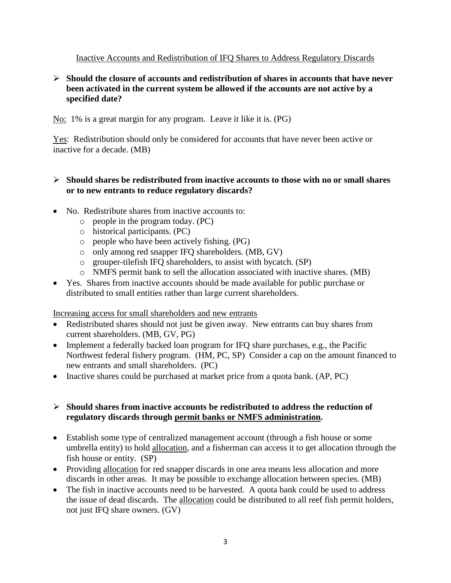### Inactive Accounts and Redistribution of IFQ Shares to Address Regulatory Discards

#### **Should the closure of accounts and redistribution of shares in accounts that have never been activated in the current system be allowed if the accounts are not active by a specified date?**

No: 1% is a great margin for any program. Leave it like it is. (PG)

Yes: Redistribution should only be considered for accounts that have never been active or inactive for a decade. (MB)

#### **Should shares be redistributed from inactive accounts to those with no or small shares or to new entrants to reduce regulatory discards?**

- No. Redistribute shares from inactive accounts to:
	- o people in the program today. (PC)
	- o historical participants. (PC)
	- o people who have been actively fishing. (PG)
	- o only among red snapper IFQ shareholders. (MB, GV)
	- o grouper-tilefish IFQ shareholders, to assist with bycatch. (SP)
	- o NMFS permit bank to sell the allocation associated with inactive shares. (MB)
- Yes. Shares from inactive accounts should be made available for public purchase or distributed to small entities rather than large current shareholders.

#### Increasing access for small shareholders and new entrants

- Redistributed shares should not just be given away. New entrants can buy shares from current shareholders. (MB, GV, PG)
- Implement a federally backed loan program for IFQ share purchases, e.g., the Pacific Northwest federal fishery program. (HM, PC, SP) Consider a cap on the amount financed to new entrants and small shareholders. (PC)
- Inactive shares could be purchased at market price from a quota bank. (AP, PC)

### **Should shares from inactive accounts be redistributed to address the reduction of regulatory discards through permit banks or NMFS administration.**

- Establish some type of centralized management account (through a fish house or some umbrella entity) to hold allocation, and a fisherman can access it to get allocation through the fish house or entity. (SP)
- Providing allocation for red snapper discards in one area means less allocation and more discards in other areas. It may be possible to exchange allocation between species. (MB)
- The fish in inactive accounts need to be harvested. A quota bank could be used to address the issue of dead discards. The allocation could be distributed to all reef fish permit holders, not just IFQ share owners. (GV)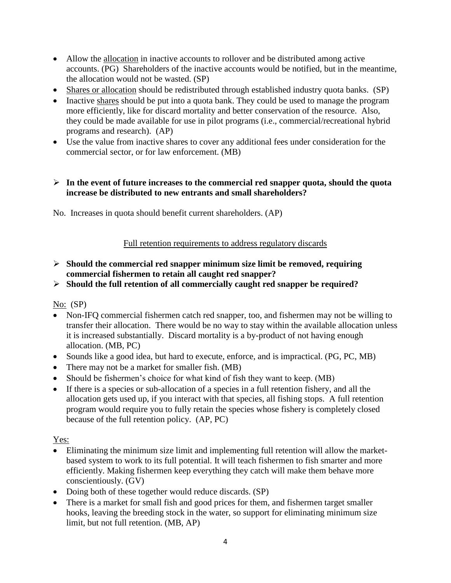- Allow the allocation in inactive accounts to rollover and be distributed among active accounts. (PG) Shareholders of the inactive accounts would be notified, but in the meantime, the allocation would not be wasted. (SP)
- Shares or allocation should be redistributed through established industry quota banks. (SP)
- Inactive shares should be put into a quota bank. They could be used to manage the program more efficiently, like for discard mortality and better conservation of the resource. Also, they could be made available for use in pilot programs (i.e., commercial/recreational hybrid programs and research). (AP)
- Use the value from inactive shares to cover any additional fees under consideration for the commercial sector, or for law enforcement. (MB)

### **In the event of future increases to the commercial red snapper quota, should the quota increase be distributed to new entrants and small shareholders?**

No. Increases in quota should benefit current shareholders. (AP)

### Full retention requirements to address regulatory discards

- **Should the commercial red snapper minimum size limit be removed, requiring commercial fishermen to retain all caught red snapper?**
- **Should the full retention of all commercially caught red snapper be required?**

No: (SP)

- Non-IFQ commercial fishermen catch red snapper, too, and fishermen may not be willing to transfer their allocation. There would be no way to stay within the available allocation unless it is increased substantially. Discard mortality is a by-product of not having enough allocation. (MB, PC)
- Sounds like a good idea, but hard to execute, enforce, and is impractical. (PG, PC, MB)
- There may not be a market for smaller fish. (MB)
- Should be fishermen's choice for what kind of fish they want to keep. (MB)
- If there is a species or sub-allocation of a species in a full retention fishery, and all the allocation gets used up, if you interact with that species, all fishing stops. A full retention program would require you to fully retain the species whose fishery is completely closed because of the full retention policy. (AP, PC)

Yes:

- Eliminating the minimum size limit and implementing full retention will allow the marketbased system to work to its full potential. It will teach fishermen to fish smarter and more efficiently. Making fishermen keep everything they catch will make them behave more conscientiously. (GV)
- Doing both of these together would reduce discards. (SP)
- There is a market for small fish and good prices for them, and fishermen target smaller hooks, leaving the breeding stock in the water, so support for eliminating minimum size limit, but not full retention. (MB, AP)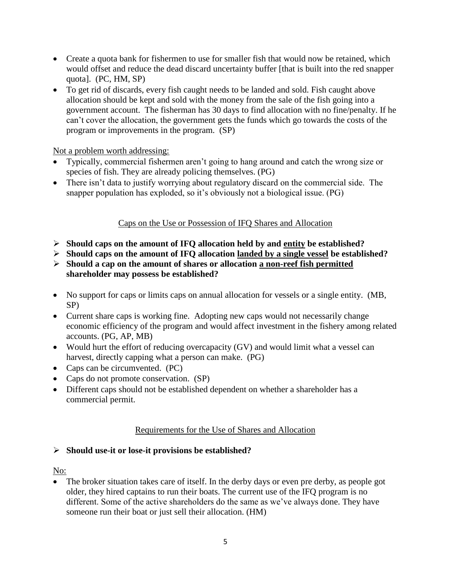- Create a quota bank for fishermen to use for smaller fish that would now be retained, which would offset and reduce the dead discard uncertainty buffer [that is built into the red snapper quota]. (PC, HM, SP)
- To get rid of discards, every fish caught needs to be landed and sold. Fish caught above allocation should be kept and sold with the money from the sale of the fish going into a government account. The fisherman has 30 days to find allocation with no fine/penalty. If he can't cover the allocation, the government gets the funds which go towards the costs of the program or improvements in the program. (SP)

### Not a problem worth addressing:

- Typically, commercial fishermen aren't going to hang around and catch the wrong size or species of fish. They are already policing themselves. (PG)
- There isn't data to justify worrying about regulatory discard on the commercial side. The snapper population has exploded, so it's obviously not a biological issue. (PG)

#### Caps on the Use or Possession of IFQ Shares and Allocation

- **Should caps on the amount of IFQ allocation held by and entity be established?**
- **Should caps on the amount of IFQ allocation landed by a single vessel be established?**
- **Should a cap on the amount of shares or allocation a non-reef fish permitted shareholder may possess be established?**
- No support for caps or limits caps on annual allocation for vessels or a single entity. (MB, SP)
- Current share caps is working fine. Adopting new caps would not necessarily change economic efficiency of the program and would affect investment in the fishery among related accounts. (PG, AP, MB)
- Would hurt the effort of reducing overcapacity (GV) and would limit what a vessel can harvest, directly capping what a person can make. (PG)
- Caps can be circumvented. (PC)
- Caps do not promote conservation. (SP)
- Different caps should not be established dependent on whether a shareholder has a commercial permit.

#### Requirements for the Use of Shares and Allocation

#### **Should use-it or lose-it provisions be established?**

#### No:

• The broker situation takes care of itself. In the derby days or even pre derby, as people got older, they hired captains to run their boats. The current use of the IFQ program is no different. Some of the active shareholders do the same as we've always done. They have someone run their boat or just sell their allocation. (HM)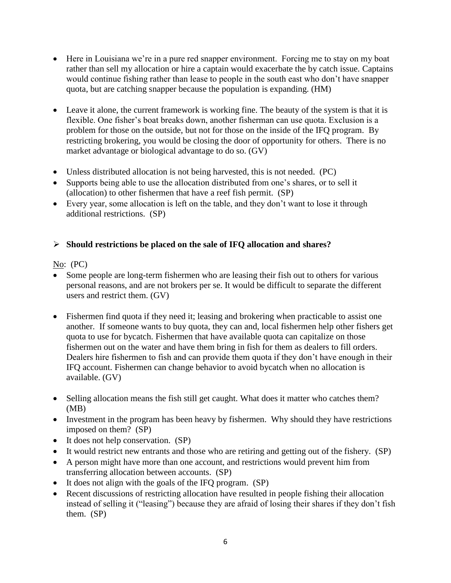- Here in Louisiana we're in a pure red snapper environment. Forcing me to stay on my boat rather than sell my allocation or hire a captain would exacerbate the by catch issue. Captains would continue fishing rather than lease to people in the south east who don't have snapper quota, but are catching snapper because the population is expanding. (HM)
- Leave it alone, the current framework is working fine. The beauty of the system is that it is flexible. One fisher's boat breaks down, another fisherman can use quota. Exclusion is a problem for those on the outside, but not for those on the inside of the IFQ program. By restricting brokering, you would be closing the door of opportunity for others. There is no market advantage or biological advantage to do so. (GV)
- Unless distributed allocation is not being harvested, this is not needed. (PC)
- Supports being able to use the allocation distributed from one's shares, or to sell it (allocation) to other fishermen that have a reef fish permit. (SP)
- Every year, some allocation is left on the table, and they don't want to lose it through additional restrictions. (SP)

# **Should restrictions be placed on the sale of IFQ allocation and shares?**

### No:  $(PC)$

- Some people are long-term fishermen who are leasing their fish out to others for various personal reasons, and are not brokers per se. It would be difficult to separate the different users and restrict them. (GV)
- Fishermen find quota if they need it; leasing and brokering when practicable to assist one another. If someone wants to buy quota, they can and, local fishermen help other fishers get quota to use for bycatch. Fishermen that have available quota can capitalize on those fishermen out on the water and have them bring in fish for them as dealers to fill orders. Dealers hire fishermen to fish and can provide them quota if they don't have enough in their IFQ account. Fishermen can change behavior to avoid bycatch when no allocation is available. (GV)
- Selling allocation means the fish still get caught. What does it matter who catches them? (MB)
- Investment in the program has been heavy by fishermen. Why should they have restrictions imposed on them? (SP)
- It does not help conservation. (SP)
- It would restrict new entrants and those who are retiring and getting out of the fishery. (SP)
- A person might have more than one account, and restrictions would prevent him from transferring allocation between accounts. (SP)
- It does not align with the goals of the IFQ program. (SP)
- Recent discussions of restricting allocation have resulted in people fishing their allocation instead of selling it ("leasing") because they are afraid of losing their shares if they don't fish them. (SP)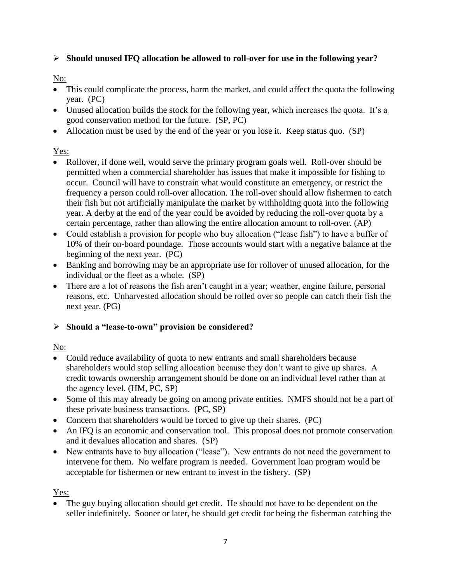# **Should unused IFQ allocation be allowed to roll-over for use in the following year?**

# No:

- This could complicate the process, harm the market, and could affect the quota the following year. (PC)
- Unused allocation builds the stock for the following year, which increases the quota. It's a good conservation method for the future. (SP, PC)
- Allocation must be used by the end of the year or you lose it. Keep status quo. (SP)

# Yes:

- Rollover, if done well, would serve the primary program goals well. Roll-over should be permitted when a commercial shareholder has issues that make it impossible for fishing to occur. Council will have to constrain what would constitute an emergency, or restrict the frequency a person could roll-over allocation. The roll-over should allow fishermen to catch their fish but not artificially manipulate the market by withholding quota into the following year. A derby at the end of the year could be avoided by reducing the roll-over quota by a certain percentage, rather than allowing the entire allocation amount to roll-over. (AP)
- Could establish a provision for people who buy allocation ("lease fish") to have a buffer of 10% of their on-board poundage. Those accounts would start with a negative balance at the beginning of the next year. (PC)
- Banking and borrowing may be an appropriate use for rollover of unused allocation, for the individual or the fleet as a whole. (SP)
- There are a lot of reasons the fish aren't caught in a year; weather, engine failure, personal reasons, etc. Unharvested allocation should be rolled over so people can catch their fish the next year. (PG)

# **Should a "lease-to-own" provision be considered?**

# No:

- Could reduce availability of quota to new entrants and small shareholders because shareholders would stop selling allocation because they don't want to give up shares. A credit towards ownership arrangement should be done on an individual level rather than at the agency level. (HM, PC, SP)
- Some of this may already be going on among private entities. NMFS should not be a part of these private business transactions. (PC, SP)
- Concern that shareholders would be forced to give up their shares. (PC)
- An IFQ is an economic and conservation tool. This proposal does not promote conservation and it devalues allocation and shares. (SP)
- New entrants have to buy allocation ("lease"). New entrants do not need the government to intervene for them. No welfare program is needed. Government loan program would be acceptable for fishermen or new entrant to invest in the fishery. (SP)

# Yes:

 The guy buying allocation should get credit. He should not have to be dependent on the seller indefinitely. Sooner or later, he should get credit for being the fisherman catching the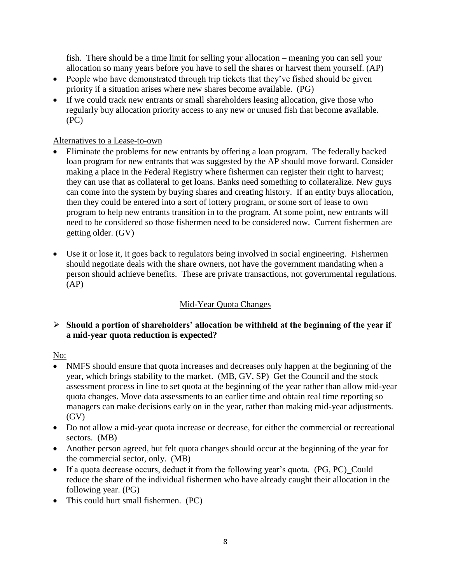fish. There should be a time limit for selling your allocation – meaning you can sell your allocation so many years before you have to sell the shares or harvest them yourself. (AP)

- People who have demonstrated through trip tickets that they've fished should be given priority if a situation arises where new shares become available. (PG)
- If we could track new entrants or small shareholders leasing allocation, give those who regularly buy allocation priority access to any new or unused fish that become available. (PC)

### Alternatives to a Lease-to-own

- Eliminate the problems for new entrants by offering a loan program. The federally backed loan program for new entrants that was suggested by the AP should move forward. Consider making a place in the Federal Registry where fishermen can register their right to harvest; they can use that as collateral to get loans. Banks need something to collateralize. New guys can come into the system by buying shares and creating history. If an entity buys allocation, then they could be entered into a sort of lottery program, or some sort of lease to own program to help new entrants transition in to the program. At some point, new entrants will need to be considered so those fishermen need to be considered now. Current fishermen are getting older. (GV)
- Use it or lose it, it goes back to regulators being involved in social engineering. Fishermen should negotiate deals with the share owners, not have the government mandating when a person should achieve benefits. These are private transactions, not governmental regulations. (AP)

# Mid-Year Quota Changes

### **Should a portion of shareholders' allocation be withheld at the beginning of the year if a mid-year quota reduction is expected?**

### No:

- NMFS should ensure that quota increases and decreases only happen at the beginning of the year, which brings stability to the market. (MB, GV, SP) Get the Council and the stock assessment process in line to set quota at the beginning of the year rather than allow mid-year quota changes. Move data assessments to an earlier time and obtain real time reporting so managers can make decisions early on in the year, rather than making mid-year adjustments. (GV)
- Do not allow a mid-year quota increase or decrease, for either the commercial or recreational sectors. (MB)
- Another person agreed, but felt quota changes should occur at the beginning of the year for the commercial sector, only. (MB)
- If a quota decrease occurs, deduct it from the following year's quota. (PG, PC)\_Could reduce the share of the individual fishermen who have already caught their allocation in the following year. (PG)
- This could hurt small fishermen. (PC)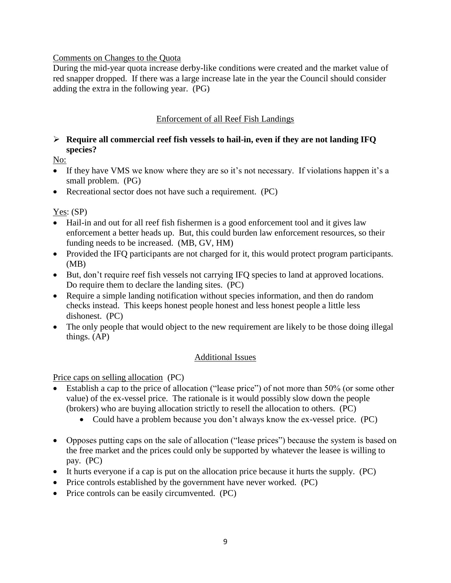#### Comments on Changes to the Quota

During the mid-year quota increase derby-like conditions were created and the market value of red snapper dropped. If there was a large increase late in the year the Council should consider adding the extra in the following year. (PG)

### Enforcement of all Reef Fish Landings

### **Require all commercial reef fish vessels to hail-in, even if they are not landing IFQ species?**

No:

- If they have VMS we know where they are so it's not necessary. If violations happen it's a small problem. (PG)
- Recreational sector does not have such a requirement. (PC)

Yes: (SP)

- Hail-in and out for all reef fish fishermen is a good enforcement tool and it gives law enforcement a better heads up. But, this could burden law enforcement resources, so their funding needs to be increased. (MB, GV, HM)
- Provided the IFQ participants are not charged for it, this would protect program participants. (MB)
- But, don't require reef fish vessels not carrying IFQ species to land at approved locations. Do require them to declare the landing sites. (PC)
- Require a simple landing notification without species information, and then do random checks instead. This keeps honest people honest and less honest people a little less dishonest. (PC)
- The only people that would object to the new requirement are likely to be those doing illegal things. (AP)

### Additional Issues

Price caps on selling allocation (PC)

- Establish a cap to the price of allocation ("lease price") of not more than 50% (or some other value) of the ex-vessel price. The rationale is it would possibly slow down the people (brokers) who are buying allocation strictly to resell the allocation to others. (PC)
	- Could have a problem because you don't always know the ex-vessel price. (PC)
- Opposes putting caps on the sale of allocation ("lease prices") because the system is based on the free market and the prices could only be supported by whatever the leasee is willing to pay. (PC)
- It hurts everyone if a cap is put on the allocation price because it hurts the supply. (PC)
- Price controls established by the government have never worked. (PC)
- Price controls can be easily circumvented. (PC)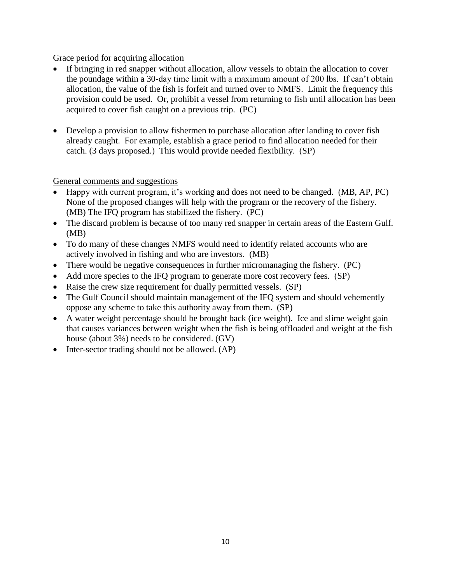#### Grace period for acquiring allocation

- If bringing in red snapper without allocation, allow vessels to obtain the allocation to cover the poundage within a 30-day time limit with a maximum amount of 200 lbs. If can't obtain allocation, the value of the fish is forfeit and turned over to NMFS. Limit the frequency this provision could be used. Or, prohibit a vessel from returning to fish until allocation has been acquired to cover fish caught on a previous trip. (PC)
- Develop a provision to allow fishermen to purchase allocation after landing to cover fish already caught. For example, establish a grace period to find allocation needed for their catch. (3 days proposed.) This would provide needed flexibility. (SP)

General comments and suggestions

- Happy with current program, it's working and does not need to be changed. (MB, AP, PC) None of the proposed changes will help with the program or the recovery of the fishery. (MB) The IFQ program has stabilized the fishery. (PC)
- The discard problem is because of too many red snapper in certain areas of the Eastern Gulf. (MB)
- To do many of these changes NMFS would need to identify related accounts who are actively involved in fishing and who are investors. (MB)
- There would be negative consequences in further micromanaging the fishery. (PC)
- Add more species to the IFQ program to generate more cost recovery fees. (SP)
- Raise the crew size requirement for dually permitted vessels. (SP)
- The Gulf Council should maintain management of the IFQ system and should vehemently oppose any scheme to take this authority away from them. (SP)
- A water weight percentage should be brought back (ice weight). Ice and slime weight gain that causes variances between weight when the fish is being offloaded and weight at the fish house (about 3%) needs to be considered. (GV)
- $\bullet$  Inter-sector trading should not be allowed. (AP)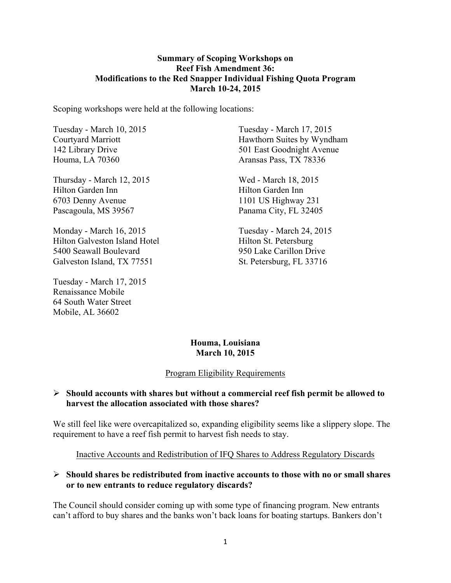#### **Summary of Scoping Workshops on Reef Fish Amendment 36: Modifications to the Red Snapper Individual Fishing Quota Program March 10-24, 2015**

Scoping workshops were held at the following locations:

Tuesday - March 10, 2015 Courtyard Marriott 142 Library Drive Houma, LA 70360

Thursday - March 12, 2015 Hilton Garden Inn 6703 Denny Avenue Pascagoula, MS 39567

Monday - March 16, 2015 Hilton Galveston Island Hotel 5400 Seawall Boulevard Galveston Island, TX 77551

Tuesday - March 17, 2015 Renaissance Mobile 64 South Water Street Mobile, AL 36602

Tuesday - March 17, 2015 Hawthorn Suites by Wyndham 501 East Goodnight Avenue Aransas Pass, TX 78336

Wed - March 18, 2015 Hilton Garden Inn 1101 US Highway 231 Panama City, FL 32405

Tuesday - March 24, 2015 Hilton St. Petersburg 950 Lake Carillon Drive St. Petersburg, FL 33716

### **Houma, Louisiana March 10, 2015**

#### Program Eligibility Requirements

#### Ø **Should accounts with shares but without a commercial reef fish permit be allowed to harvest the allocation associated with those shares?**

We still feel like were overcapitalized so, expanding eligibility seems like a slippery slope. The requirement to have a reef fish permit to harvest fish needs to stay.

Inactive Accounts and Redistribution of IFQ Shares to Address Regulatory Discards

### Ø **Should shares be redistributed from inactive accounts to those with no or small shares or to new entrants to reduce regulatory discards?**

The Council should consider coming up with some type of financing program. New entrants can't afford to buy shares and the banks won't back loans for boating startups. Bankers don't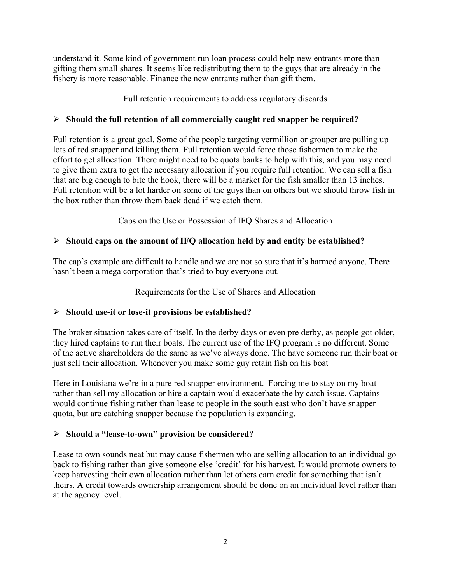understand it. Some kind of government run loan process could help new entrants more than gifting them small shares. It seems like redistributing them to the guys that are already in the fishery is more reasonable. Finance the new entrants rather than gift them.

### Full retention requirements to address regulatory discards

### Ø **Should the full retention of all commercially caught red snapper be required?**

Full retention is a great goal. Some of the people targeting vermillion or grouper are pulling up lots of red snapper and killing them. Full retention would force those fishermen to make the effort to get allocation. There might need to be quota banks to help with this, and you may need to give them extra to get the necessary allocation if you require full retention. We can sell a fish that are big enough to bite the hook, there will be a market for the fish smaller than 13 inches. Full retention will be a lot harder on some of the guys than on others but we should throw fish in the box rather than throw them back dead if we catch them.

# Caps on the Use or Possession of IFQ Shares and Allocation

## Ø **Should caps on the amount of IFQ allocation held by and entity be established?**

The cap's example are difficult to handle and we are not so sure that it's harmed anyone. There hasn't been a mega corporation that's tried to buy everyone out.

### Requirements for the Use of Shares and Allocation

### Ø **Should use-it or lose-it provisions be established?**

The broker situation takes care of itself. In the derby days or even pre derby, as people got older, they hired captains to run their boats. The current use of the IFQ program is no different. Some of the active shareholders do the same as we've always done. The have someone run their boat or just sell their allocation. Whenever you make some guy retain fish on his boat

Here in Louisiana we're in a pure red snapper environment. Forcing me to stay on my boat rather than sell my allocation or hire a captain would exacerbate the by catch issue. Captains would continue fishing rather than lease to people in the south east who don't have snapper quota, but are catching snapper because the population is expanding.

### Ø **Should a "lease-to-own" provision be considered?**

Lease to own sounds neat but may cause fishermen who are selling allocation to an individual go back to fishing rather than give someone else 'credit' for his harvest. It would promote owners to keep harvesting their own allocation rather than let others earn credit for something that isn't theirs. A credit towards ownership arrangement should be done on an individual level rather than at the agency level.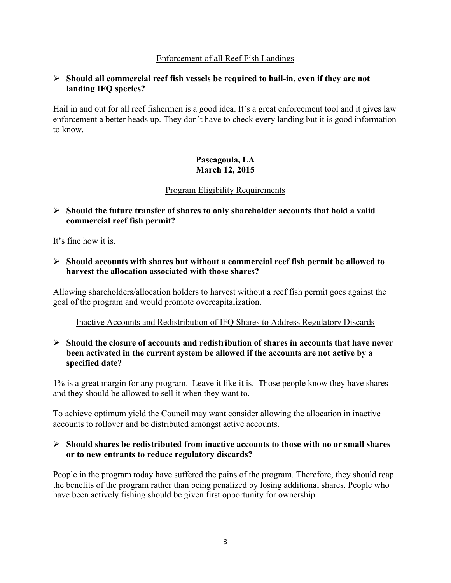### Enforcement of all Reef Fish Landings

#### Ø **Should all commercial reef fish vessels be required to hail-in, even if they are not landing IFQ species?**

Hail in and out for all reef fishermen is a good idea. It's a great enforcement tool and it gives law enforcement a better heads up. They don't have to check every landing but it is good information to know.

### **Pascagoula, LA March 12, 2015**

#### Program Eligibility Requirements

### Ø **Should the future transfer of shares to only shareholder accounts that hold a valid commercial reef fish permit?**

It's fine how it is.

#### Ø **Should accounts with shares but without a commercial reef fish permit be allowed to harvest the allocation associated with those shares?**

Allowing shareholders/allocation holders to harvest without a reef fish permit goes against the goal of the program and would promote overcapitalization.

Inactive Accounts and Redistribution of IFQ Shares to Address Regulatory Discards

### Ø **Should the closure of accounts and redistribution of shares in accounts that have never been activated in the current system be allowed if the accounts are not active by a specified date?**

1% is a great margin for any program. Leave it like it is. Those people know they have shares and they should be allowed to sell it when they want to.

To achieve optimum yield the Council may want consider allowing the allocation in inactive accounts to rollover and be distributed amongst active accounts.

#### Ø **Should shares be redistributed from inactive accounts to those with no or small shares or to new entrants to reduce regulatory discards?**

People in the program today have suffered the pains of the program. Therefore, they should reap the benefits of the program rather than being penalized by losing additional shares. People who have been actively fishing should be given first opportunity for ownership.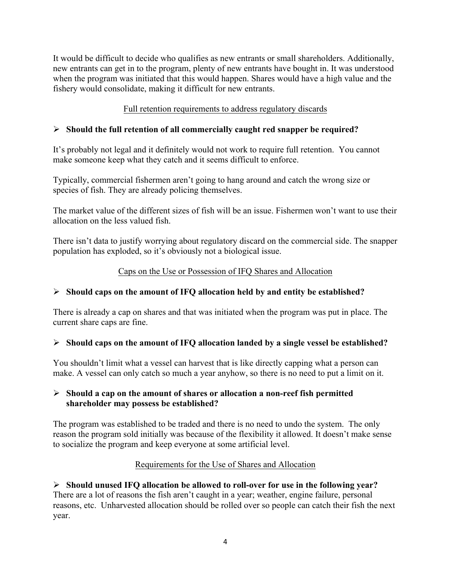It would be difficult to decide who qualifies as new entrants or small shareholders. Additionally, new entrants can get in to the program, plenty of new entrants have bought in. It was understood when the program was initiated that this would happen. Shares would have a high value and the fishery would consolidate, making it difficult for new entrants.

# Full retention requirements to address regulatory discards

# Ø **Should the full retention of all commercially caught red snapper be required?**

It's probably not legal and it definitely would not work to require full retention. You cannot make someone keep what they catch and it seems difficult to enforce.

Typically, commercial fishermen aren't going to hang around and catch the wrong size or species of fish. They are already policing themselves.

The market value of the different sizes of fish will be an issue. Fishermen won't want to use their allocation on the less valued fish.

There isn't data to justify worrying about regulatory discard on the commercial side. The snapper population has exploded, so it's obviously not a biological issue.

# Caps on the Use or Possession of IFQ Shares and Allocation

# Ø **Should caps on the amount of IFQ allocation held by and entity be established?**

There is already a cap on shares and that was initiated when the program was put in place. The current share caps are fine.

### Ø **Should caps on the amount of IFQ allocation landed by a single vessel be established?**

You shouldn't limit what a vessel can harvest that is like directly capping what a person can make. A vessel can only catch so much a year anyhow, so there is no need to put a limit on it.

### Ø **Should a cap on the amount of shares or allocation a non-reef fish permitted shareholder may possess be established?**

The program was established to be traded and there is no need to undo the system. The only reason the program sold initially was because of the flexibility it allowed. It doesn't make sense to socialize the program and keep everyone at some artificial level.

### Requirements for the Use of Shares and Allocation

# Ø **Should unused IFQ allocation be allowed to roll-over for use in the following year?**

There are a lot of reasons the fish aren't caught in a year; weather, engine failure, personal reasons, etc. Unharvested allocation should be rolled over so people can catch their fish the next year.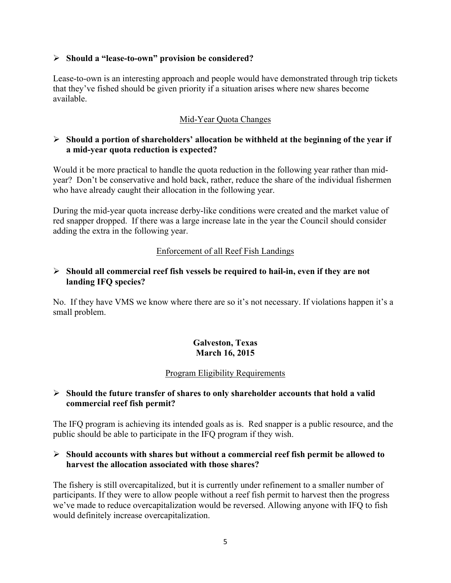#### Ø **Should a "lease-to-own" provision be considered?**

Lease-to-own is an interesting approach and people would have demonstrated through trip tickets that they've fished should be given priority if a situation arises where new shares become available.

## Mid-Year Quota Changes

### Ø **Should a portion of shareholders' allocation be withheld at the beginning of the year if a mid-year quota reduction is expected?**

Would it be more practical to handle the quota reduction in the following year rather than midyear? Don't be conservative and hold back, rather, reduce the share of the individual fishermen who have already caught their allocation in the following year.

During the mid-year quota increase derby-like conditions were created and the market value of red snapper dropped. If there was a large increase late in the year the Council should consider adding the extra in the following year.

### Enforcement of all Reef Fish Landings

### Ø **Should all commercial reef fish vessels be required to hail-in, even if they are not landing IFQ species?**

No. If they have VMS we know where there are so it's not necessary. If violations happen it's a small problem.

## **Galveston, Texas March 16, 2015**

### Program Eligibility Requirements

#### Ø **Should the future transfer of shares to only shareholder accounts that hold a valid commercial reef fish permit?**

The IFQ program is achieving its intended goals as is. Red snapper is a public resource, and the public should be able to participate in the IFQ program if they wish.

#### Ø **Should accounts with shares but without a commercial reef fish permit be allowed to harvest the allocation associated with those shares?**

The fishery is still overcapitalized, but it is currently under refinement to a smaller number of participants. If they were to allow people without a reef fish permit to harvest then the progress we've made to reduce overcapitalization would be reversed. Allowing anyone with IFQ to fish would definitely increase overcapitalization.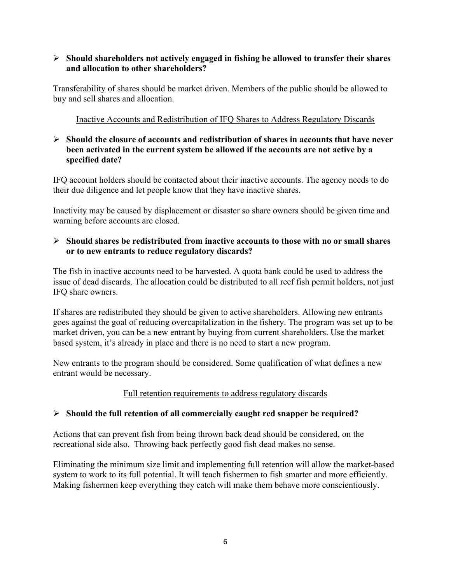### Ø **Should shareholders not actively engaged in fishing be allowed to transfer their shares and allocation to other shareholders?**

Transferability of shares should be market driven. Members of the public should be allowed to buy and sell shares and allocation.

### Inactive Accounts and Redistribution of IFQ Shares to Address Regulatory Discards

### Ø **Should the closure of accounts and redistribution of shares in accounts that have never been activated in the current system be allowed if the accounts are not active by a specified date?**

IFQ account holders should be contacted about their inactive accounts. The agency needs to do their due diligence and let people know that they have inactive shares.

Inactivity may be caused by displacement or disaster so share owners should be given time and warning before accounts are closed.

### Ø **Should shares be redistributed from inactive accounts to those with no or small shares or to new entrants to reduce regulatory discards?**

The fish in inactive accounts need to be harvested. A quota bank could be used to address the issue of dead discards. The allocation could be distributed to all reef fish permit holders, not just IFQ share owners.

If shares are redistributed they should be given to active shareholders. Allowing new entrants goes against the goal of reducing overcapitalization in the fishery. The program was set up to be market driven, you can be a new entrant by buying from current shareholders. Use the market based system, it's already in place and there is no need to start a new program.

New entrants to the program should be considered. Some qualification of what defines a new entrant would be necessary.

# Full retention requirements to address regulatory discards

# Ø **Should the full retention of all commercially caught red snapper be required?**

Actions that can prevent fish from being thrown back dead should be considered, on the recreational side also. Throwing back perfectly good fish dead makes no sense.

Eliminating the minimum size limit and implementing full retention will allow the market-based system to work to its full potential. It will teach fishermen to fish smarter and more efficiently. Making fishermen keep everything they catch will make them behave more conscientiously.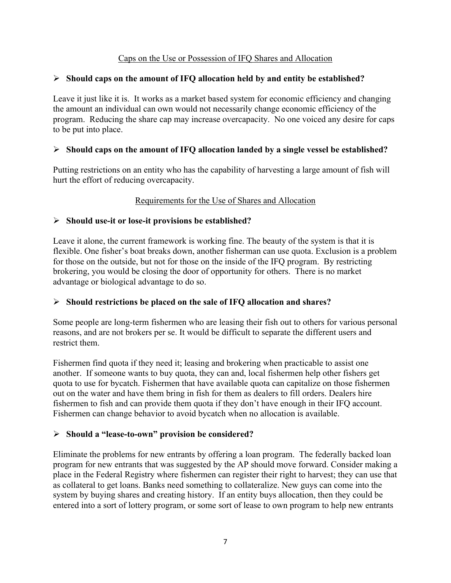### Caps on the Use or Possession of IFQ Shares and Allocation

### Ø **Should caps on the amount of IFQ allocation held by and entity be established?**

Leave it just like it is. It works as a market based system for economic efficiency and changing the amount an individual can own would not necessarily change economic efficiency of the program.Reducing the share cap may increase overcapacity. No one voiced any desire for caps to be put into place.

### Ø **Should caps on the amount of IFQ allocation landed by a single vessel be established?**

Putting restrictions on an entity who has the capability of harvesting a large amount of fish will hurt the effort of reducing overcapacity.

## Requirements for the Use of Shares and Allocation

## Ø **Should use-it or lose-it provisions be established?**

Leave it alone, the current framework is working fine. The beauty of the system is that it is flexible. One fisher's boat breaks down, another fisherman can use quota. Exclusion is a problem for those on the outside, but not for those on the inside of the IFQ program. By restricting brokering, you would be closing the door of opportunity for others. There is no market advantage or biological advantage to do so.

### Ø **Should restrictions be placed on the sale of IFQ allocation and shares?**

Some people are long-term fishermen who are leasing their fish out to others for various personal reasons, and are not brokers per se. It would be difficult to separate the different users and restrict them.

Fishermen find quota if they need it; leasing and brokering when practicable to assist one another. If someone wants to buy quota, they can and, local fishermen help other fishers get quota to use for bycatch. Fishermen that have available quota can capitalize on those fishermen out on the water and have them bring in fish for them as dealers to fill orders. Dealers hire fishermen to fish and can provide them quota if they don't have enough in their IFQ account. Fishermen can change behavior to avoid bycatch when no allocation is available.

### Ø **Should a "lease-to-own" provision be considered?**

Eliminate the problems for new entrants by offering a loan program. The federally backed loan program for new entrants that was suggested by the AP should move forward. Consider making a place in the Federal Registry where fishermen can register their right to harvest; they can use that as collateral to get loans. Banks need something to collateralize. New guys can come into the system by buying shares and creating history. If an entity buys allocation, then they could be entered into a sort of lottery program, or some sort of lease to own program to help new entrants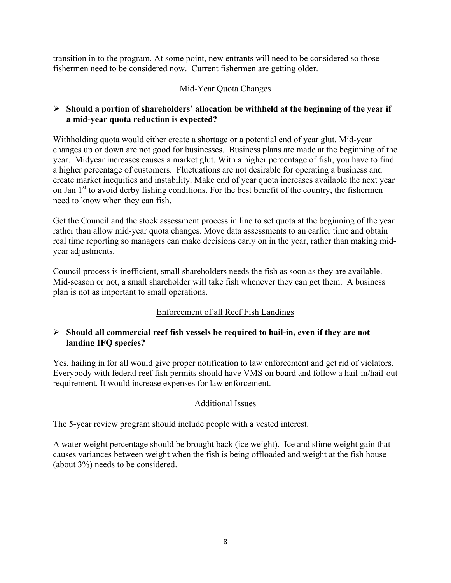transition in to the program. At some point, new entrants will need to be considered so those fishermen need to be considered now. Current fishermen are getting older.

### Mid-Year Quota Changes

### Ø **Should a portion of shareholders' allocation be withheld at the beginning of the year if a mid-year quota reduction is expected?**

Withholding quota would either create a shortage or a potential end of year glut. Mid-year changes up or down are not good for businesses. Business plans are made at the beginning of the year. Midyear increases causes a market glut. With a higher percentage of fish, you have to find a higher percentage of customers. Fluctuations are not desirable for operating a business and create market inequities and instability. Make end of year quota increases available the next year on Jan  $1<sup>st</sup>$  to avoid derby fishing conditions. For the best benefit of the country, the fishermen need to know when they can fish.

Get the Council and the stock assessment process in line to set quota at the beginning of the year rather than allow mid-year quota changes. Move data assessments to an earlier time and obtain real time reporting so managers can make decisions early on in the year, rather than making midyear adjustments.

Council process is inefficient, small shareholders needs the fish as soon as they are available. Mid-season or not, a small shareholder will take fish whenever they can get them. A business plan is not as important to small operations.

### Enforcement of all Reef Fish Landings

### Ø **Should all commercial reef fish vessels be required to hail-in, even if they are not landing IFQ species?**

Yes, hailing in for all would give proper notification to law enforcement and get rid of violators. Everybody with federal reef fish permits should have VMS on board and follow a hail-in/hail-out requirement. It would increase expenses for law enforcement.

### Additional Issues

The 5-year review program should include people with a vested interest.

A water weight percentage should be brought back (ice weight). Ice and slime weight gain that causes variances between weight when the fish is being offloaded and weight at the fish house (about 3%) needs to be considered.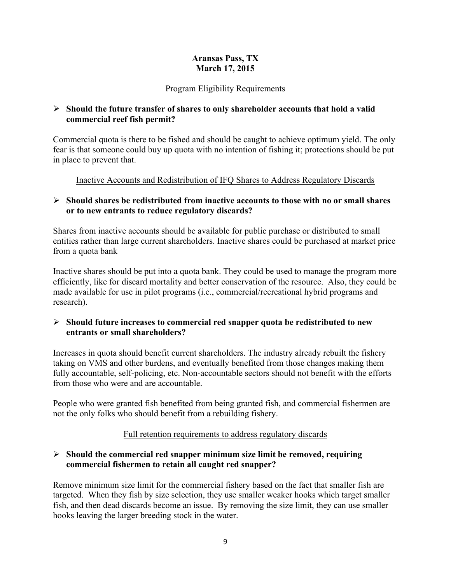### **Aransas Pass, TX March 17, 2015**

# Program Eligibility Requirements

### Ø **Should the future transfer of shares to only shareholder accounts that hold a valid commercial reef fish permit?**

Commercial quota is there to be fished and should be caught to achieve optimum yield. The only fear is that someone could buy up quota with no intention of fishing it; protections should be put in place to prevent that.

Inactive Accounts and Redistribution of IFQ Shares to Address Regulatory Discards

# Ø **Should shares be redistributed from inactive accounts to those with no or small shares or to new entrants to reduce regulatory discards?**

Shares from inactive accounts should be available for public purchase or distributed to small entities rather than large current shareholders. Inactive shares could be purchased at market price from a quota bank

Inactive shares should be put into a quota bank. They could be used to manage the program more efficiently, like for discard mortality and better conservation of the resource. Also, they could be made available for use in pilot programs (i.e., commercial/recreational hybrid programs and research).

## Ø **Should future increases to commercial red snapper quota be redistributed to new entrants or small shareholders?**

Increases in quota should benefit current shareholders. The industry already rebuilt the fishery taking on VMS and other burdens, and eventually benefited from those changes making them fully accountable, self-policing, etc. Non-accountable sectors should not benefit with the efforts from those who were and are accountable.

People who were granted fish benefited from being granted fish, and commercial fishermen are not the only folks who should benefit from a rebuilding fishery.

# Full retention requirements to address regulatory discards

## Ø **Should the commercial red snapper minimum size limit be removed, requiring commercial fishermen to retain all caught red snapper?**

Remove minimum size limit for the commercial fishery based on the fact that smaller fish are targeted. When they fish by size selection, they use smaller weaker hooks which target smaller fish, and then dead discards become an issue. By removing the size limit, they can use smaller hooks leaving the larger breeding stock in the water.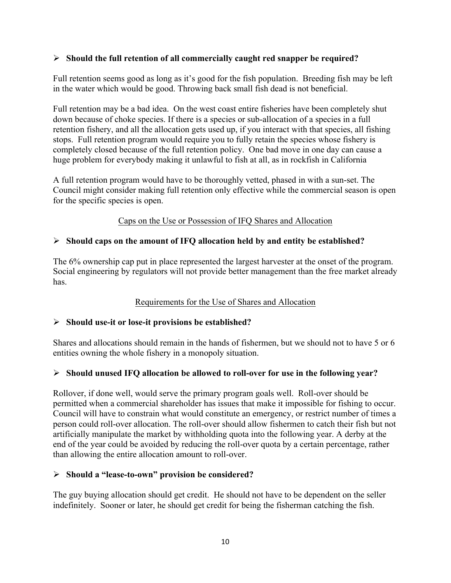### Ø **Should the full retention of all commercially caught red snapper be required?**

Full retention seems good as long as it's good for the fish population. Breeding fish may be left in the water which would be good. Throwing back small fish dead is not beneficial.

Full retention may be a bad idea. On the west coast entire fisheries have been completely shut down because of choke species. If there is a species or sub-allocation of a species in a full retention fishery, and all the allocation gets used up, if you interact with that species, all fishing stops. Full retention program would require you to fully retain the species whose fishery is completely closed because of the full retention policy. One bad move in one day can cause a huge problem for everybody making it unlawful to fish at all, as in rockfish in California

A full retention program would have to be thoroughly vetted, phased in with a sun-set. The Council might consider making full retention only effective while the commercial season is open for the specific species is open.

#### Caps on the Use or Possession of IFQ Shares and Allocation

#### Ø **Should caps on the amount of IFQ allocation held by and entity be established?**

The 6% ownership cap put in place represented the largest harvester at the onset of the program. Social engineering by regulators will not provide better management than the free market already has.

#### Requirements for the Use of Shares and Allocation

#### Ø **Should use-it or lose-it provisions be established?**

Shares and allocations should remain in the hands of fishermen, but we should not to have 5 or 6 entities owning the whole fishery in a monopoly situation.

#### Ø **Should unused IFQ allocation be allowed to roll-over for use in the following year?**

Rollover, if done well, would serve the primary program goals well. Roll-over should be permitted when a commercial shareholder has issues that make it impossible for fishing to occur. Council will have to constrain what would constitute an emergency, or restrict number of times a person could roll-over allocation. The roll-over should allow fishermen to catch their fish but not artificially manipulate the market by withholding quota into the following year. A derby at the end of the year could be avoided by reducing the roll-over quota by a certain percentage, rather than allowing the entire allocation amount to roll-over.

#### Ø **Should a "lease-to-own" provision be considered?**

The guy buying allocation should get credit. He should not have to be dependent on the seller indefinitely. Sooner or later, he should get credit for being the fisherman catching the fish.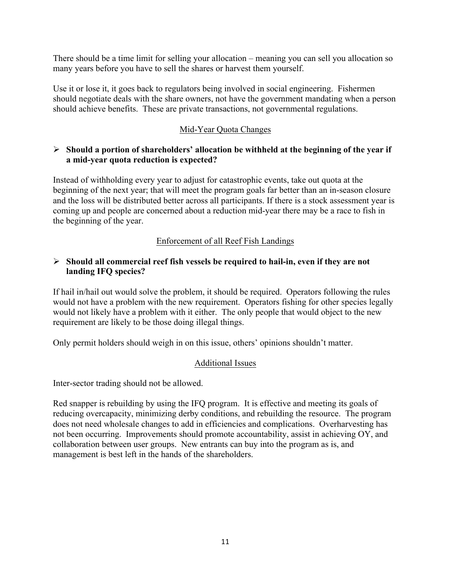There should be a time limit for selling your allocation – meaning you can sell you allocation so many years before you have to sell the shares or harvest them yourself.

Use it or lose it, it goes back to regulators being involved in social engineering. Fishermen should negotiate deals with the share owners, not have the government mandating when a person should achieve benefits. These are private transactions, not governmental regulations.

### Mid-Year Quota Changes

### Ø **Should a portion of shareholders' allocation be withheld at the beginning of the year if a mid-year quota reduction is expected?**

Instead of withholding every year to adjust for catastrophic events, take out quota at the beginning of the next year; that will meet the program goals far better than an in-season closure and the loss will be distributed better across all participants. If there is a stock assessment year is coming up and people are concerned about a reduction mid-year there may be a race to fish in the beginning of the year.

## Enforcement of all Reef Fish Landings

### Ø **Should all commercial reef fish vessels be required to hail-in, even if they are not landing IFQ species?**

If hail in/hail out would solve the problem, it should be required. Operators following the rules would not have a problem with the new requirement. Operators fishing for other species legally would not likely have a problem with it either. The only people that would object to the new requirement are likely to be those doing illegal things.

Only permit holders should weigh in on this issue, others' opinions shouldn't matter.

### Additional Issues

Inter-sector trading should not be allowed.

Red snapper is rebuilding by using the IFQ program. It is effective and meeting its goals of reducing overcapacity, minimizing derby conditions, and rebuilding the resource. The program does not need wholesale changes to add in efficiencies and complications. Overharvesting has not been occurring. Improvements should promote accountability, assist in achieving OY, and collaboration between user groups. New entrants can buy into the program as is, and management is best left in the hands of the shareholders.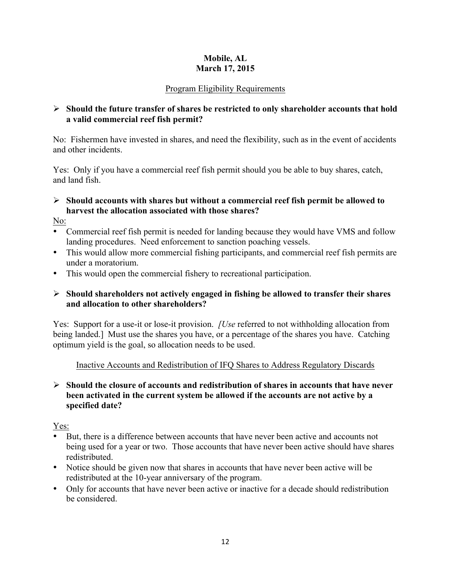# **Mobile, AL March 17, 2015**

# Program Eligibility Requirements

### Ø **Should the future transfer of shares be restricted to only shareholder accounts that hold a valid commercial reef fish permit?**

No: Fishermen have invested in shares, and need the flexibility, such as in the event of accidents and other incidents.

Yes: Only if you have a commercial reef fish permit should you be able to buy shares, catch, and land fish.

## Ø **Should accounts with shares but without a commercial reef fish permit be allowed to harvest the allocation associated with those shares?**

No:

- Commercial reef fish permit is needed for landing because they would have VMS and follow landing procedures. Need enforcement to sanction poaching vessels.
- This would allow more commercial fishing participants, and commercial reef fish permits are under a moratorium.
- This would open the commercial fishery to recreational participation.

## Ø **Should shareholders not actively engaged in fishing be allowed to transfer their shares and allocation to other shareholders?**

Yes: Support for a use-it or lose-it provision. *[Use* referred to not withholding allocation from being landed.] Must use the shares you have, or a percentage of the shares you have. Catching optimum yield is the goal, so allocation needs to be used.

### Inactive Accounts and Redistribution of IFQ Shares to Address Regulatory Discards

### Ø **Should the closure of accounts and redistribution of shares in accounts that have never been activated in the current system be allowed if the accounts are not active by a specified date?**

Yes:

- But, there is a difference between accounts that have never been active and accounts not being used for a year or two. Those accounts that have never been active should have shares redistributed.
- Notice should be given now that shares in accounts that have never been active will be redistributed at the 10-year anniversary of the program.
- Only for accounts that have never been active or inactive for a decade should redistribution be considered.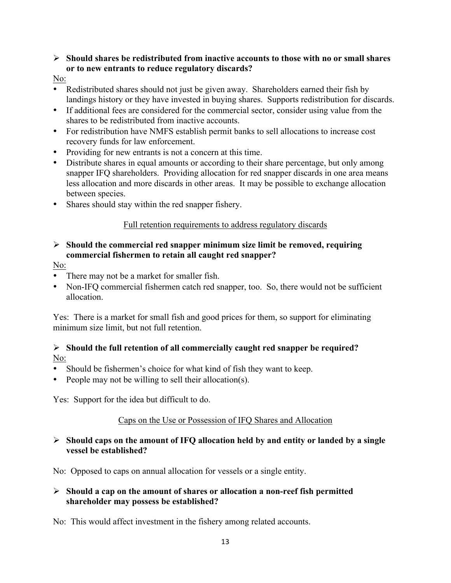### Ø **Should shares be redistributed from inactive accounts to those with no or small shares or to new entrants to reduce regulatory discards?**

### No:

- Redistributed shares should not just be given away. Shareholders earned their fish by landings history or they have invested in buying shares. Supports redistribution for discards.
- If additional fees are considered for the commercial sector, consider using value from the shares to be redistributed from inactive accounts.
- For redistribution have NMFS establish permit banks to sell allocations to increase cost recovery funds for law enforcement.
- Providing for new entrants is not a concern at this time.
- Distribute shares in equal amounts or according to their share percentage, but only among snapper IFQ shareholders. Providing allocation for red snapper discards in one area means less allocation and more discards in other areas. It may be possible to exchange allocation between species.
- Shares should stay within the red snapper fishery.

## Full retention requirements to address regulatory discards

## Ø **Should the commercial red snapper minimum size limit be removed, requiring commercial fishermen to retain all caught red snapper?**

- No:
- There may not be a market for smaller fish.
- Non-IFQ commercial fishermen catch red snapper, too. So, there would not be sufficient allocation.

Yes: There is a market for small fish and good prices for them, so support for eliminating minimum size limit, but not full retention.

## Ø **Should the full retention of all commercially caught red snapper be required?**  No:

- Should be fishermen's choice for what kind of fish they want to keep.
- People may not be willing to sell their allocation(s).

Yes: Support for the idea but difficult to do.

# Caps on the Use or Possession of IFQ Shares and Allocation

### Ø **Should caps on the amount of IFQ allocation held by and entity or landed by a single vessel be established?**

No: Opposed to caps on annual allocation for vessels or a single entity.

### Ø **Should a cap on the amount of shares or allocation a non-reef fish permitted shareholder may possess be established?**

No: This would affect investment in the fishery among related accounts.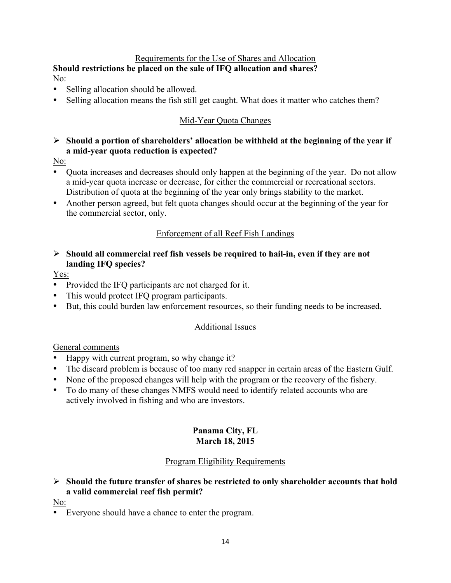## Requirements for the Use of Shares and Allocation

#### **Should restrictions be placed on the sale of IFQ allocation and shares?** No:

- Selling allocation should be allowed.
- Selling allocation means the fish still get caught. What does it matter who catches them?

# Mid-Year Quota Changes

## Ø **Should a portion of shareholders' allocation be withheld at the beginning of the year if a mid-year quota reduction is expected?**

No:

- Quota increases and decreases should only happen at the beginning of the year. Do not allow a mid-year quota increase or decrease, for either the commercial or recreational sectors. Distribution of quota at the beginning of the year only brings stability to the market.
- Another person agreed, but felt quota changes should occur at the beginning of the year for the commercial sector, only.

## Enforcement of all Reef Fish Landings

Ø **Should all commercial reef fish vessels be required to hail-in, even if they are not landing IFQ species?**

Yes:

- Provided the IFO participants are not charged for it.
- This would protect IFQ program participants.
- But, this could burden law enforcement resources, so their funding needs to be increased.

### Additional Issues

General comments

- Happy with current program, so why change it?
- The discard problem is because of too many red snapper in certain areas of the Eastern Gulf.
- None of the proposed changes will help with the program or the recovery of the fishery.
- To do many of these changes NMFS would need to identify related accounts who are actively involved in fishing and who are investors.

#### **Panama City, FL March 18, 2015**

### Program Eligibility Requirements

# Ø **Should the future transfer of shares be restricted to only shareholder accounts that hold a valid commercial reef fish permit?**

No:

• Everyone should have a chance to enter the program.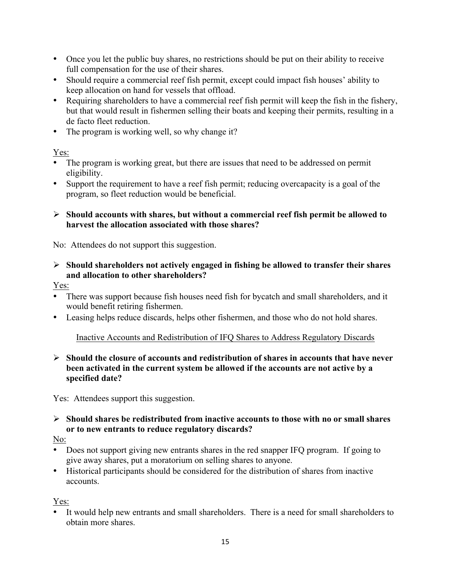- Once you let the public buy shares, no restrictions should be put on their ability to receive full compensation for the use of their shares.
- Should require a commercial reef fish permit, except could impact fish houses' ability to keep allocation on hand for vessels that offload.
- Requiring shareholders to have a commercial reef fish permit will keep the fish in the fishery, but that would result in fishermen selling their boats and keeping their permits, resulting in a de facto fleet reduction.
- The program is working well, so why change it?

## Yes:

- The program is working great, but there are issues that need to be addressed on permit eligibility.
- Support the requirement to have a reef fish permit; reducing overcapacity is a goal of the program, so fleet reduction would be beneficial.

### Ø **Should accounts with shares, but without a commercial reef fish permit be allowed to harvest the allocation associated with those shares?**

No:Attendees do not support this suggestion.

Ø **Should shareholders not actively engaged in fishing be allowed to transfer their shares and allocation to other shareholders?**

Yes:

- There was support because fish houses need fish for bycatch and small shareholders, and it would benefit retiring fishermen.
- Leasing helps reduce discards, helps other fishermen, and those who do not hold shares.

### Inactive Accounts and Redistribution of IFQ Shares to Address Regulatory Discards

Ø **Should the closure of accounts and redistribution of shares in accounts that have never been activated in the current system be allowed if the accounts are not active by a specified date?**

Yes: Attendees support this suggestion.

## Ø **Should shares be redistributed from inactive accounts to those with no or small shares or to new entrants to reduce regulatory discards?**

No:

- Does not support giving new entrants shares in the red snapper IFO program. If going to give away shares, put a moratorium on selling shares to anyone.
- Historical participants should be considered for the distribution of shares from inactive accounts.

Yes:

• It would help new entrants and small shareholders. There is a need for small shareholders to obtain more shares.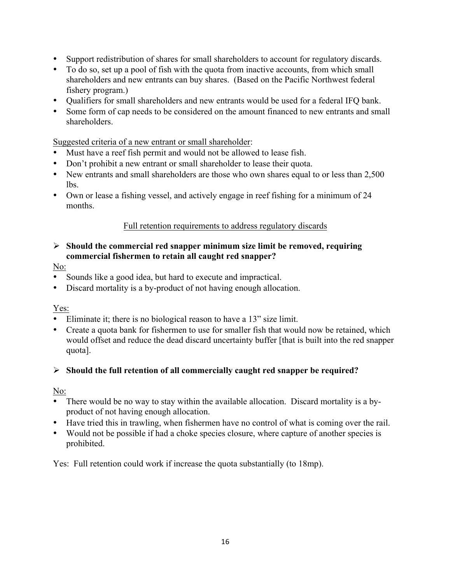- Support redistribution of shares for small shareholders to account for regulatory discards.
- To do so, set up a pool of fish with the quota from inactive accounts, from which small shareholders and new entrants can buy shares. (Based on the Pacific Northwest federal fishery program.)
- Qualifiers for small shareholders and new entrants would be used for a federal IFQ bank.
- Some form of cap needs to be considered on the amount financed to new entrants and small shareholders.

Suggested criteria of a new entrant or small shareholder:

- Must have a reef fish permit and would not be allowed to lease fish.
- Don't prohibit a new entrant or small shareholder to lease their quota.
- New entrants and small shareholders are those who own shares equal to or less than 2,500 lbs.
- Own or lease a fishing vessel, and actively engage in reef fishing for a minimum of 24 months.

### Full retention requirements to address regulatory discards

### Ø **Should the commercial red snapper minimum size limit be removed, requiring commercial fishermen to retain all caught red snapper?**

### No:

- Sounds like a good idea, but hard to execute and impractical.
- Discard mortality is a by-product of not having enough allocation.

Yes:

- Eliminate it; there is no biological reason to have a 13" size limit.
- Create a quota bank for fishermen to use for smaller fish that would now be retained, which would offset and reduce the dead discard uncertainty buffer [that is built into the red snapper quota].

# Ø **Should the full retention of all commercially caught red snapper be required?**

No:

- There would be no way to stay within the available allocation. Discard mortality is a byproduct of not having enough allocation.
- Have tried this in trawling, when fishermen have no control of what is coming over the rail.
- Would not be possible if had a choke species closure, where capture of another species is prohibited.

Yes: Full retention could work if increase the quota substantially (to 18mp).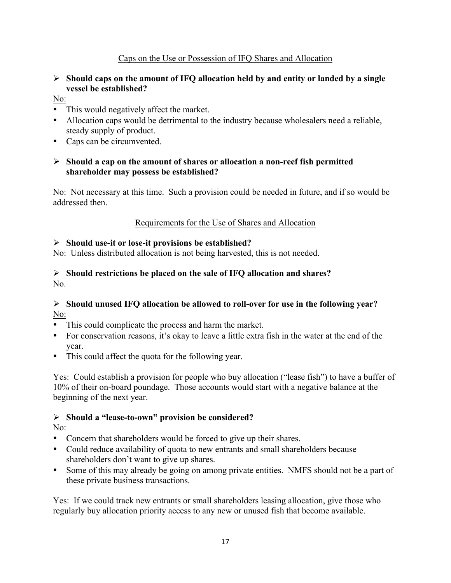## Caps on the Use or Possession of IFQ Shares and Allocation

### Ø **Should caps on the amount of IFQ allocation held by and entity or landed by a single vessel be established?**

- No:
- This would negatively affect the market.
- Allocation caps would be detrimental to the industry because wholesalers need a reliable, steady supply of product.
- Caps can be circumvented.

### Ø **Should a cap on the amount of shares or allocation a non-reef fish permitted shareholder may possess be established?**

No: Not necessary at this time. Such a provision could be needed in future, and if so would be addressed then.

### Requirements for the Use of Shares and Allocation

### Ø **Should use-it or lose-it provisions be established?**

No: Unless distributed allocation is not being harvested, this is not needed.

### Ø **Should restrictions be placed on the sale of IFQ allocation and shares?** No.

### Ø **Should unused IFQ allocation be allowed to roll-over for use in the following year?** No:

- This could complicate the process and harm the market.
- For conservation reasons, it's okay to leave a little extra fish in the water at the end of the year.
- This could affect the quota for the following year.

Yes: Could establish a provision for people who buy allocation ("lease fish") to have a buffer of 10% of their on-board poundage. Those accounts would start with a negative balance at the beginning of the next year.

# Ø **Should a "lease-to-own" provision be considered?**

No:

- Concern that shareholders would be forced to give up their shares.
- Could reduce availability of quota to new entrants and small shareholders because shareholders don't want to give up shares.
- Some of this may already be going on among private entities. NMFS should not be a part of these private business transactions.

Yes: If we could track new entrants or small shareholders leasing allocation, give those who regularly buy allocation priority access to any new or unused fish that become available.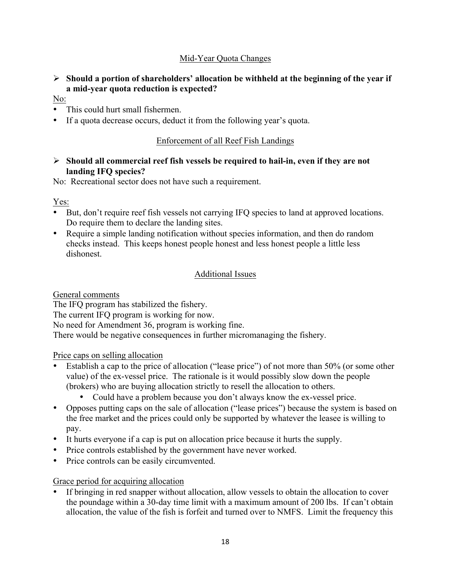# Mid-Year Quota Changes

## Ø **Should a portion of shareholders' allocation be withheld at the beginning of the year if a mid-year quota reduction is expected?**

- No:
- This could hurt small fishermen.
- If a quota decrease occurs, deduct it from the following year's quota.

## Enforcement of all Reef Fish Landings

### Ø **Should all commercial reef fish vessels be required to hail-in, even if they are not landing IFQ species?**

No: Recreational sector does not have such a requirement.

Yes:

- But, don't require reef fish vessels not carrying IFQ species to land at approved locations. Do require them to declare the landing sites.
- Require a simple landing notification without species information, and then do random checks instead. This keeps honest people honest and less honest people a little less dishonest.

# Additional Issues

General comments

The IFQ program has stabilized the fishery.

The current IFQ program is working for now.

No need for Amendment 36, program is working fine.

There would be negative consequences in further micromanaging the fishery.

### Price caps on selling allocation

- Establish a cap to the price of allocation ("lease price") of not more than 50% (or some other value) of the ex-vessel price. The rationale is it would possibly slow down the people (brokers) who are buying allocation strictly to resell the allocation to others.
	- Could have a problem because you don't always know the ex-vessel price.
- Opposes putting caps on the sale of allocation ("lease prices") because the system is based on the free market and the prices could only be supported by whatever the leasee is willing to pay.
- It hurts everyone if a cap is put on allocation price because it hurts the supply.
- Price controls established by the government have never worked.
- Price controls can be easily circumvented.

### Grace period for acquiring allocation

If bringing in red snapper without allocation, allow vessels to obtain the allocation to cover the poundage within a 30-day time limit with a maximum amount of 200 lbs. If can't obtain allocation, the value of the fish is forfeit and turned over to NMFS. Limit the frequency this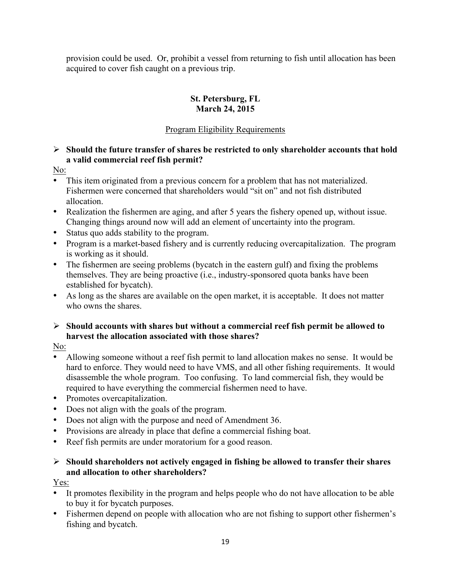provision could be used. Or, prohibit a vessel from returning to fish until allocation has been acquired to cover fish caught on a previous trip.

# **St. Petersburg, FL March 24, 2015**

# Program Eligibility Requirements

# Ø **Should the future transfer of shares be restricted to only shareholder accounts that hold a valid commercial reef fish permit?**

## No:

- This item originated from a previous concern for a problem that has not materialized. Fishermen were concerned that shareholders would "sit on" and not fish distributed allocation.
- Realization the fishermen are aging, and after 5 years the fishery opened up, without issue. Changing things around now will add an element of uncertainty into the program.
- Status quo adds stability to the program.
- Program is a market-based fishery and is currently reducing overcapitalization. The program is working as it should.
- The fishermen are seeing problems (bycatch in the eastern gulf) and fixing the problems themselves. They are being proactive (i.e., industry-sponsored quota banks have been established for bycatch).
- As long as the shares are available on the open market, it is acceptable. It does not matter who owns the shares.
- Ø **Should accounts with shares but without a commercial reef fish permit be allowed to harvest the allocation associated with those shares?**

# No:

- Allowing someone without a reef fish permit to land allocation makes no sense. It would be hard to enforce. They would need to have VMS, and all other fishing requirements. It would disassemble the whole program. Too confusing. To land commercial fish, they would be required to have everything the commercial fishermen need to have.
- Promotes overcapitalization.
- Does not align with the goals of the program.
- Does not align with the purpose and need of Amendment 36.
- Provisions are already in place that define a commercial fishing boat.
- Reef fish permits are under moratorium for a good reason.

# Ø **Should shareholders not actively engaged in fishing be allowed to transfer their shares and allocation to other shareholders?**

# Yes:

- It promotes flexibility in the program and helps people who do not have allocation to be able to buy it for bycatch purposes.
- Fishermen depend on people with allocation who are not fishing to support other fishermen's fishing and bycatch.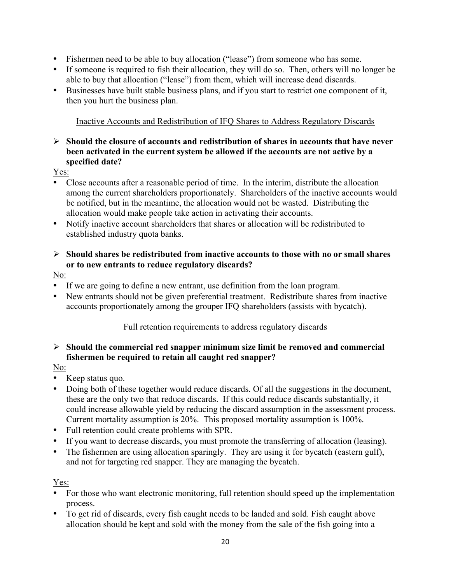- Fishermen need to be able to buy allocation ("lease") from someone who has some.
- If someone is required to fish their allocation, they will do so. Then, others will no longer be able to buy that allocation ("lease") from them, which will increase dead discards.
- Businesses have built stable business plans, and if you start to restrict one component of it, then you hurt the business plan.

# Inactive Accounts and Redistribution of IFQ Shares to Address Regulatory Discards

### Ø **Should the closure of accounts and redistribution of shares in accounts that have never been activated in the current system be allowed if the accounts are not active by a specified date?**

## Yes:

- Close accounts after a reasonable period of time. In the interim, distribute the allocation among the current shareholders proportionately. Shareholders of the inactive accounts would be notified, but in the meantime, the allocation would not be wasted. Distributing the allocation would make people take action in activating their accounts.
- Notify inactive account shareholders that shares or allocation will be redistributed to established industry quota banks.
- Ø **Should shares be redistributed from inactive accounts to those with no or small shares or to new entrants to reduce regulatory discards?**

## No:

- If we are going to define a new entrant, use definition from the loan program.
- New entrants should not be given preferential treatment. Redistribute shares from inactive accounts proportionately among the grouper IFQ shareholders (assists with bycatch).

### Full retention requirements to address regulatory discards

### Ø **Should the commercial red snapper minimum size limit be removed and commercial fishermen be required to retain all caught red snapper?**

# No:

- Keep status quo.
- Doing both of these together would reduce discards. Of all the suggestions in the document, these are the only two that reduce discards. If this could reduce discards substantially, it could increase allowable yield by reducing the discard assumption in the assessment process. Current mortality assumption is 20%. This proposed mortality assumption is 100%.
- Full retention could create problems with SPR.
- If you want to decrease discards, you must promote the transferring of allocation (leasing).
- The fishermen are using allocation sparingly. They are using it for bycatch (eastern gulf), and not for targeting red snapper. They are managing the bycatch.

# Yes:

- For those who want electronic monitoring, full retention should speed up the implementation process.
- To get rid of discards, every fish caught needs to be landed and sold. Fish caught above allocation should be kept and sold with the money from the sale of the fish going into a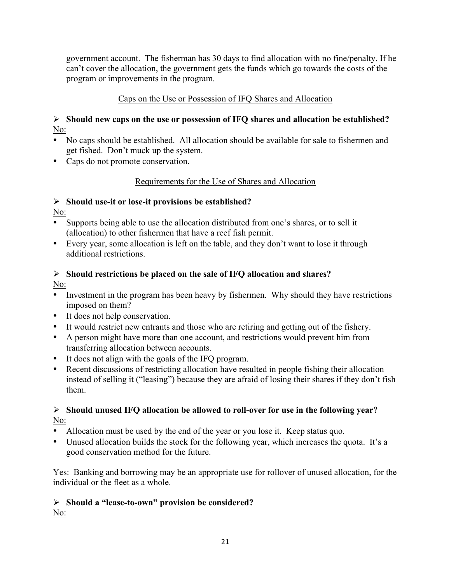government account. The fisherman has 30 days to find allocation with no fine/penalty. If he can't cover the allocation, the government gets the funds which go towards the costs of the program or improvements in the program.

# Caps on the Use or Possession of IFQ Shares and Allocation

# Ø **Should new caps on the use or possession of IFQ shares and allocation be established?** No:

- No caps should be established. All allocation should be available for sale to fishermen and get fished. Don't muck up the system.
- Caps do not promote conservation.

# Requirements for the Use of Shares and Allocation

# Ø **Should use-it or lose-it provisions be established?**

No:

- Supports being able to use the allocation distributed from one's shares, or to sell it (allocation) to other fishermen that have a reef fish permit.
- Every year, some allocation is left on the table, and they don't want to lose it through additional restrictions.

### Ø **Should restrictions be placed on the sale of IFQ allocation and shares?** No:

- Investment in the program has been heavy by fishermen. Why should they have restrictions imposed on them?
- It does not help conservation.
- It would restrict new entrants and those who are retiring and getting out of the fishery.
- A person might have more than one account, and restrictions would prevent him from transferring allocation between accounts.
- It does not align with the goals of the IFQ program.
- Recent discussions of restricting allocation have resulted in people fishing their allocation instead of selling it ("leasing") because they are afraid of losing their shares if they don't fish them.

# Ø **Should unused IFQ allocation be allowed to roll-over for use in the following year?** No:

- Allocation must be used by the end of the year or you lose it. Keep status quo.
- Unused allocation builds the stock for the following year, which increases the quota. It's a good conservation method for the future.

Yes: Banking and borrowing may be an appropriate use for rollover of unused allocation, for the individual or the fleet as a whole.

# Ø **Should a "lease-to-own" provision be considered?**

No: